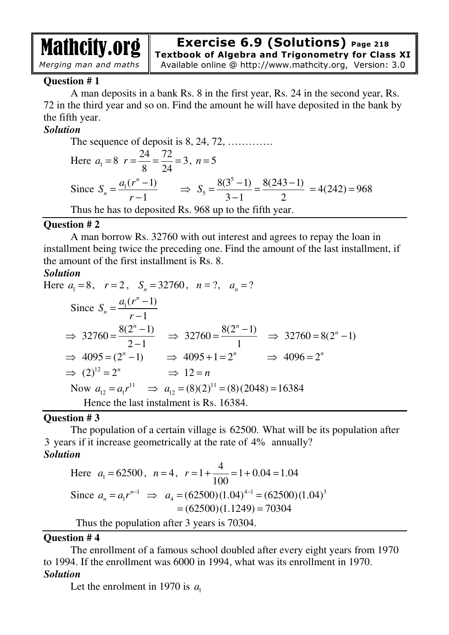

# **Exercise 6.9 (Solutions) Page 218 Textbook of Algebra and Trigonometry for Class XI**

Available online @ http://www.mathcity.org, Version: 3.0

# **Question # 1**

A man deposits in a bank Rs. 8 in the first year, Rs. 24 in the second year, Rs. 72 in the third year and so on. Find the amount he will have deposited in the bank by the fifth year.

# *Solution*

The sequence of deposit is 8, 24, 72, .........  
\nHere 
$$
a_1 = 8
$$
  $r = \frac{24}{8} = \frac{72}{24} = 3$ ,  $n = 5$   
\nSince  $S_n = \frac{a_1(r^n - 1)}{r - 1} \implies S_5 = \frac{8(3^5 - 1)}{3 - 1} = \frac{8(243 - 1)}{2} = 4(242) = 968$   
\nThus he has to deposited Rs. 968 up to the fifth year.

#### **Question # 2**

A man borrow Rs. 32760 with out interest and agrees to repay the loan in installment being twice the preceding one. Find the amount of the last installment, if the amount of the first installment is Rs. 8.

### *Solution*

Here 
$$
a_1 = 8
$$
,  $r = 2$ ,  $S_n = 32760$ ,  $n = ?$ ,  $a_n = ?$   
\nSince  $S_n = \frac{a_1(r^n - 1)}{r - 1}$   
\n $\Rightarrow 32760 = \frac{8(2^n - 1)}{2 - 1} \Rightarrow 32760 = \frac{8(2^n - 1)}{1} \Rightarrow 32760 = 8(2^n - 1)$   
\n $\Rightarrow 4095 = (2^n - 1) \Rightarrow 4095 + 1 = 2^n \Rightarrow 4096 = 2^n$   
\n $\Rightarrow (2)^{12} = 2^n \Rightarrow 12 = n$   
\nNow  $a_{12} = a_1 r^{11} \Rightarrow a_{12} = (8)(2)^{11} = (8)(2048) = 16384$   
\nHence the last installment is Rs. 16384.

### **Question # 3**

The population of a certain village is 62500. What will be its population after 3 years if it increase geometrically at the rate of 4% annually? *Solution*

Here 
$$
a_1 = 62500
$$
,  $n = 4$ ,  $r = 1 + \frac{4}{100} = 1 + 0.04 = 1.04$   
Since  $a_n = a_1 r^{n-1} \implies a_4 = (62500)(1.04)^{4-1} = (62500)(1.04)^3$   
 $= (62500)(1.1249) = 70304$ 

Thus the population after 3 years is 70304.

### **Question # 4**

The enrollment of a famous school doubled after every eight years from 1970 to 1994. If the enrollment was 6000 in 1994, what was its enrollment in 1970. *Solution*

Let the enrolment in 1970 is  $a_1$